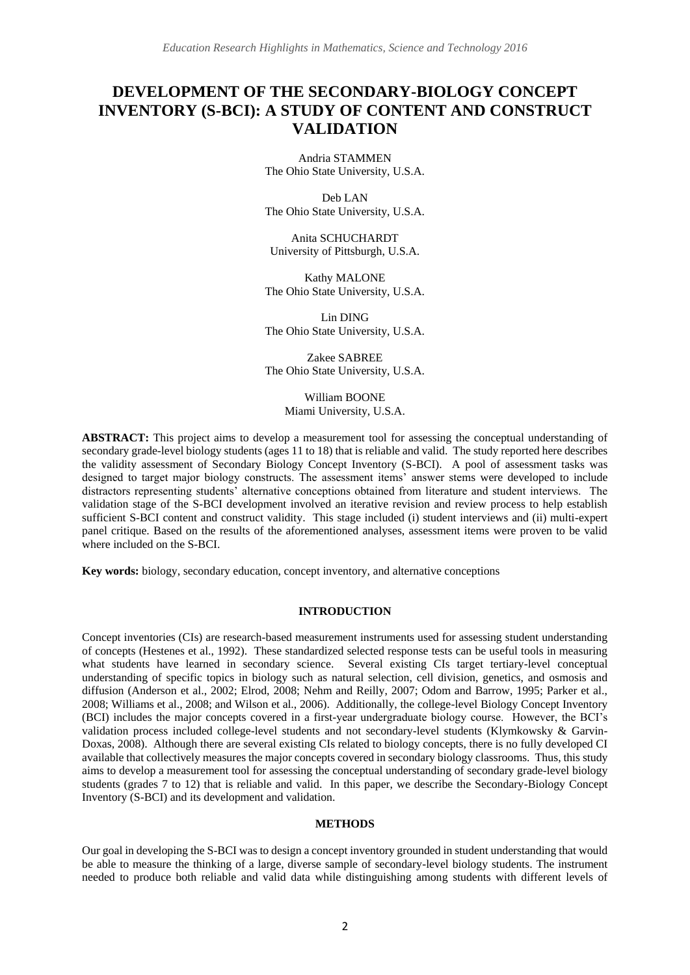# **DEVELOPMENT OF THE SECONDARY-BIOLOGY CONCEPT INVENTORY (S-BCI): A STUDY OF CONTENT AND CONSTRUCT VALIDATION**

Andria STAMMEN The Ohio State University, U.S.A.

Deb LAN The Ohio State University, U.S.A.

Anita SCHUCHARDT University of Pittsburgh, U.S.A.

Kathy MALONE The Ohio State University, U.S.A.

Lin DING The Ohio State University, U.S.A.

Zakee SABREE The Ohio State University, U.S.A.

> William BOONE Miami University, U.S.A.

**ABSTRACT:** This project aims to develop a measurement tool for assessing the conceptual understanding of secondary grade-level biology students (ages 11 to 18) that is reliable and valid. The study reported here describes the validity assessment of Secondary Biology Concept Inventory (S-BCI). A pool of assessment tasks was designed to target major biology constructs. The assessment items' answer stems were developed to include distractors representing students' alternative conceptions obtained from literature and student interviews. The validation stage of the S-BCI development involved an iterative revision and review process to help establish sufficient S-BCI content and construct validity. This stage included (i) student interviews and (ii) multi-expert panel critique. Based on the results of the aforementioned analyses, assessment items were proven to be valid where included on the S-BCI.

**Key words:** biology, secondary education, concept inventory, and alternative conceptions

#### **INTRODUCTION**

Concept inventories (CIs) are research-based measurement instruments used for assessing student understanding of concepts (Hestenes et al., 1992). These standardized selected response tests can be useful tools in measuring what students have learned in secondary science. Several existing CIs target tertiary-level conceptual understanding of specific topics in biology such as natural selection, cell division, genetics, and osmosis and diffusion (Anderson et al., 2002; Elrod, 2008; Nehm and Reilly, 2007; Odom and Barrow, 1995; Parker et al., 2008; Williams et al., 2008; and Wilson et al., 2006). Additionally, the college-level Biology Concept Inventory (BCI) includes the major concepts covered in a first-year undergraduate biology course. However, the BCI's validation process included college-level students and not secondary-level students (Klymkowsky & Garvin-Doxas, 2008). Although there are several existing CIs related to biology concepts, there is no fully developed CI available that collectively measures the major concepts covered in secondary biology classrooms. Thus, this study aims to develop a measurement tool for assessing the conceptual understanding of secondary grade-level biology students (grades 7 to 12) that is reliable and valid. In this paper, we describe the Secondary-Biology Concept Inventory (S-BCI) and its development and validation.

#### **METHODS**

Our goal in developing the S-BCI was to design a concept inventory grounded in student understanding that would be able to measure the thinking of a large, diverse sample of secondary-level biology students. The instrument needed to produce both reliable and valid data while distinguishing among students with different levels of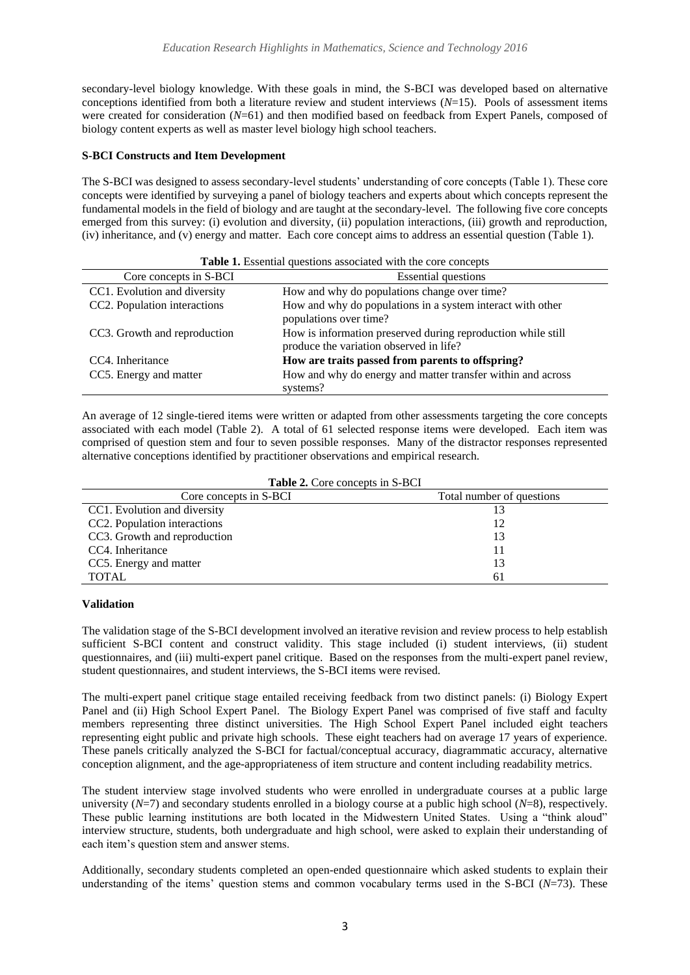secondary-level biology knowledge. With these goals in mind, the S-BCI was developed based on alternative conceptions identified from both a literature review and student interviews (*N*=15). Pools of assessment items were created for consideration (*N*=61) and then modified based on feedback from Expert Panels, composed of biology content experts as well as master level biology high school teachers.

# **S-BCI Constructs and Item Development**

The S-BCI was designed to assess secondary-level students' understanding of core concepts (Table 1). These core concepts were identified by surveying a panel of biology teachers and experts about which concepts represent the fundamental models in the field of biology and are taught at the secondary-level. The following five core concepts emerged from this survey: (i) evolution and diversity, (ii) population interactions, (iii) growth and reproduction, (iv) inheritance, and (v) energy and matter. Each core concept aims to address an essential question (Table 1).

| Table 1. Essential questions associated with the core concepts |                                                                                                         |  |  |
|----------------------------------------------------------------|---------------------------------------------------------------------------------------------------------|--|--|
| Core concepts in S-BCI                                         | <b>Essential questions</b>                                                                              |  |  |
| CC1. Evolution and diversity                                   | How and why do populations change over time?                                                            |  |  |
| CC2. Population interactions                                   | How and why do populations in a system interact with other<br>populations over time?                    |  |  |
| CC3. Growth and reproduction                                   | How is information preserved during reproduction while still<br>produce the variation observed in life? |  |  |
| CC4. Inheritance                                               | How are traits passed from parents to offspring?                                                        |  |  |
| CC5. Energy and matter                                         | How and why do energy and matter transfer within and across<br>systems?                                 |  |  |

An average of 12 single-tiered items were written or adapted from other assessments targeting the core concepts associated with each model (Table 2). A total of 61 selected response items were developed. Each item was comprised of question stem and four to seven possible responses. Many of the distractor responses represented alternative conceptions identified by practitioner observations and empirical research.

| <b>Table 2.</b> Core concepts in S-BCI |                           |  |  |
|----------------------------------------|---------------------------|--|--|
| Core concepts in S-BCI                 | Total number of questions |  |  |
| CC1. Evolution and diversity           |                           |  |  |
| CC2. Population interactions           |                           |  |  |
| CC3. Growth and reproduction           |                           |  |  |
| CC4. Inheritance                       |                           |  |  |
| CC5. Energy and matter                 |                           |  |  |
| <b>TOTAL</b>                           | 61                        |  |  |

#### **Table 2.** Core concepts in S-BCI

## **Validation**

The validation stage of the S-BCI development involved an iterative revision and review process to help establish sufficient S-BCI content and construct validity. This stage included (i) student interviews, (ii) student questionnaires, and (iii) multi-expert panel critique. Based on the responses from the multi-expert panel review, student questionnaires, and student interviews, the S-BCI items were revised.

The multi-expert panel critique stage entailed receiving feedback from two distinct panels: (i) Biology Expert Panel and (ii) High School Expert Panel. The Biology Expert Panel was comprised of five staff and faculty members representing three distinct universities. The High School Expert Panel included eight teachers representing eight public and private high schools. These eight teachers had on average 17 years of experience. These panels critically analyzed the S-BCI for factual/conceptual accuracy, diagrammatic accuracy, alternative conception alignment, and the age-appropriateness of item structure and content including readability metrics.

The student interview stage involved students who were enrolled in undergraduate courses at a public large university (*N*=7) and secondary students enrolled in a biology course at a public high school (*N*=8), respectively. These public learning institutions are both located in the Midwestern United States. Using a "think aloud" interview structure, students, both undergraduate and high school, were asked to explain their understanding of each item's question stem and answer stems.

Additionally, secondary students completed an open-ended questionnaire which asked students to explain their understanding of the items' question stems and common vocabulary terms used in the S-BCI (*N*=73). These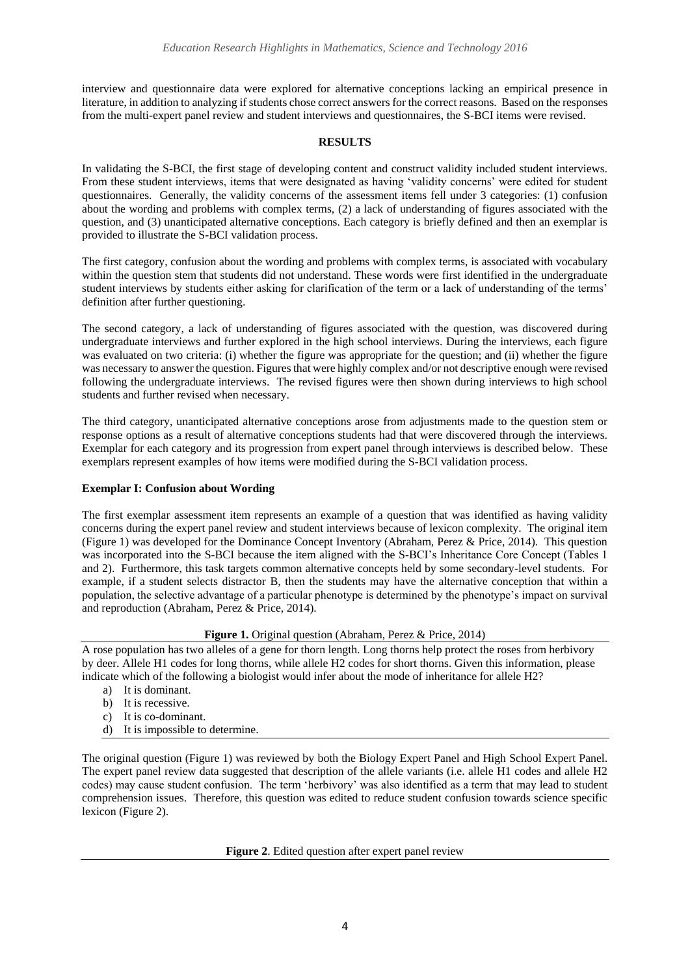interview and questionnaire data were explored for alternative conceptions lacking an empirical presence in literature, in addition to analyzing if students chose correct answers for the correct reasons. Based on the responses from the multi-expert panel review and student interviews and questionnaires, the S-BCI items were revised.

## **RESULTS**

In validating the S-BCI, the first stage of developing content and construct validity included student interviews. From these student interviews, items that were designated as having 'validity concerns' were edited for student questionnaires. Generally, the validity concerns of the assessment items fell under 3 categories: (1) confusion about the wording and problems with complex terms, (2) a lack of understanding of figures associated with the question, and (3) unanticipated alternative conceptions. Each category is briefly defined and then an exemplar is provided to illustrate the S-BCI validation process.

The first category, confusion about the wording and problems with complex terms, is associated with vocabulary within the question stem that students did not understand. These words were first identified in the undergraduate student interviews by students either asking for clarification of the term or a lack of understanding of the terms' definition after further questioning.

The second category, a lack of understanding of figures associated with the question, was discovered during undergraduate interviews and further explored in the high school interviews. During the interviews, each figure was evaluated on two criteria: (i) whether the figure was appropriate for the question; and (ii) whether the figure was necessary to answer the question. Figures that were highly complex and/or not descriptive enough were revised following the undergraduate interviews. The revised figures were then shown during interviews to high school students and further revised when necessary.

The third category, unanticipated alternative conceptions arose from adjustments made to the question stem or response options as a result of alternative conceptions students had that were discovered through the interviews. Exemplar for each category and its progression from expert panel through interviews is described below. These exemplars represent examples of how items were modified during the S-BCI validation process.

## **Exemplar I: Confusion about Wording**

The first exemplar assessment item represents an example of a question that was identified as having validity concerns during the expert panel review and student interviews because of lexicon complexity. The original item (Figure 1) was developed for the Dominance Concept Inventory (Abraham, Perez & Price, 2014). This question was incorporated into the S-BCI because the item aligned with the S-BCI's Inheritance Core Concept (Tables 1 and 2). Furthermore, this task targets common alternative concepts held by some secondary-level students. For example, if a student selects distractor B, then the students may have the alternative conception that within a population, the selective advantage of a particular phenotype is determined by the phenotype's impact on survival and reproduction (Abraham, Perez & Price, 2014).

## **Figure 1.** Original question (Abraham, Perez & Price, 2014)

A rose population has two alleles of a gene for thorn length. Long thorns help protect the roses from herbivory by deer. Allele H1 codes for long thorns, while allele H2 codes for short thorns. Given this information, please indicate which of the following a biologist would infer about the mode of inheritance for allele H2?

- a) It is dominant.
- b) It is recessive.
- c) It is co-dominant.
- d) It is impossible to determine.

The original question (Figure 1) was reviewed by both the Biology Expert Panel and High School Expert Panel. The expert panel review data suggested that description of the allele variants (i.e. allele H1 codes and allele H2 codes) may cause student confusion. The term 'herbivory' was also identified as a term that may lead to student comprehension issues. Therefore, this question was edited to reduce student confusion towards science specific lexicon (Figure 2).

**Figure 2**. Edited question after expert panel review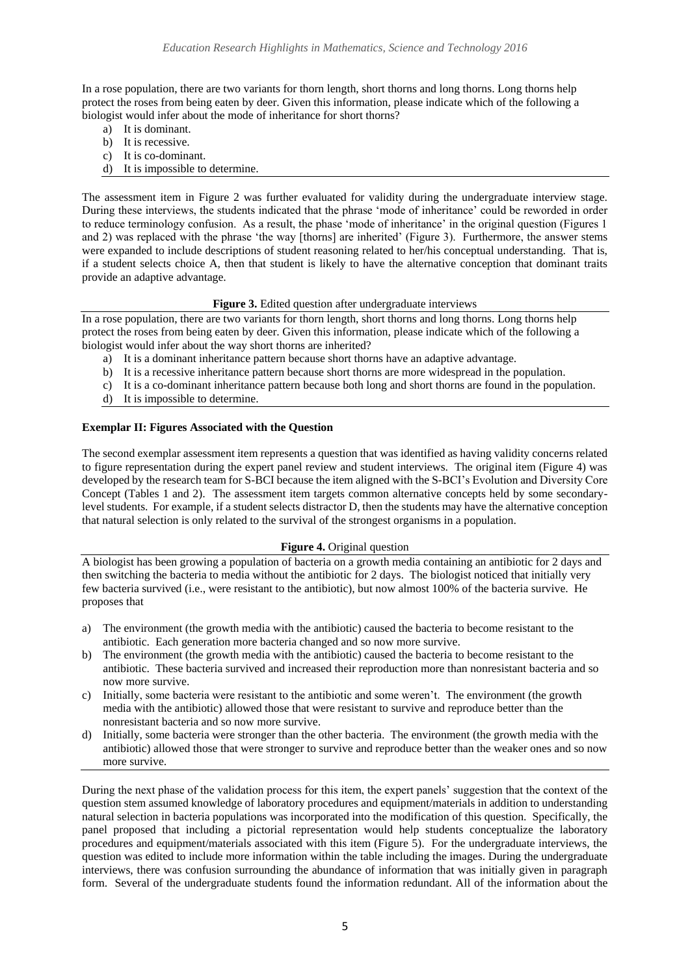In a rose population, there are two variants for thorn length, short thorns and long thorns. Long thorns help protect the roses from being eaten by deer. Given this information, please indicate which of the following a biologist would infer about the mode of inheritance for short thorns?

- a) It is dominant.
- b) It is recessive.
- c) It is co-dominant.
- d) It is impossible to determine.

The assessment item in Figure 2 was further evaluated for validity during the undergraduate interview stage. During these interviews, the students indicated that the phrase 'mode of inheritance' could be reworded in order to reduce terminology confusion. As a result, the phase 'mode of inheritance' in the original question (Figures 1 and 2) was replaced with the phrase 'the way [thorns] are inherited' (Figure 3). Furthermore, the answer stems were expanded to include descriptions of student reasoning related to her/his conceptual understanding. That is, if a student selects choice A, then that student is likely to have the alternative conception that dominant traits provide an adaptive advantage.

## Figure 3. Edited question after undergraduate interviews

In a rose population, there are two variants for thorn length, short thorns and long thorns. Long thorns help protect the roses from being eaten by deer. Given this information, please indicate which of the following a biologist would infer about the way short thorns are inherited?

- a) It is a dominant inheritance pattern because short thorns have an adaptive advantage.
- b) It is a recessive inheritance pattern because short thorns are more widespread in the population.
- c) It is a co-dominant inheritance pattern because both long and short thorns are found in the population.
- d) It is impossible to determine.

## **Exemplar II: Figures Associated with the Question**

The second exemplar assessment item represents a question that was identified as having validity concerns related to figure representation during the expert panel review and student interviews. The original item (Figure 4) was developed by the research team for S-BCI because the item aligned with the S-BCI's Evolution and Diversity Core Concept (Tables 1 and 2). The assessment item targets common alternative concepts held by some secondarylevel students. For example, if a student selects distractor D, then the students may have the alternative conception that natural selection is only related to the survival of the strongest organisms in a population.

## **Figure 4.** Original question

A biologist has been growing a population of bacteria on a growth media containing an antibiotic for 2 days and then switching the bacteria to media without the antibiotic for 2 days. The biologist noticed that initially very few bacteria survived (i.e., were resistant to the antibiotic), but now almost 100% of the bacteria survive. He proposes that

- a) The environment (the growth media with the antibiotic) caused the bacteria to become resistant to the antibiotic. Each generation more bacteria changed and so now more survive.
- b) The environment (the growth media with the antibiotic) caused the bacteria to become resistant to the antibiotic. These bacteria survived and increased their reproduction more than nonresistant bacteria and so now more survive.
- c) Initially, some bacteria were resistant to the antibiotic and some weren't. The environment (the growth media with the antibiotic) allowed those that were resistant to survive and reproduce better than the nonresistant bacteria and so now more survive.
- d) Initially, some bacteria were stronger than the other bacteria. The environment (the growth media with the antibiotic) allowed those that were stronger to survive and reproduce better than the weaker ones and so now more survive.

During the next phase of the validation process for this item, the expert panels' suggestion that the context of the question stem assumed knowledge of laboratory procedures and equipment/materials in addition to understanding natural selection in bacteria populations was incorporated into the modification of this question. Specifically, the panel proposed that including a pictorial representation would help students conceptualize the laboratory procedures and equipment/materials associated with this item (Figure 5). For the undergraduate interviews, the question was edited to include more information within the table including the images. During the undergraduate interviews, there was confusion surrounding the abundance of information that was initially given in paragraph form. Several of the undergraduate students found the information redundant. All of the information about the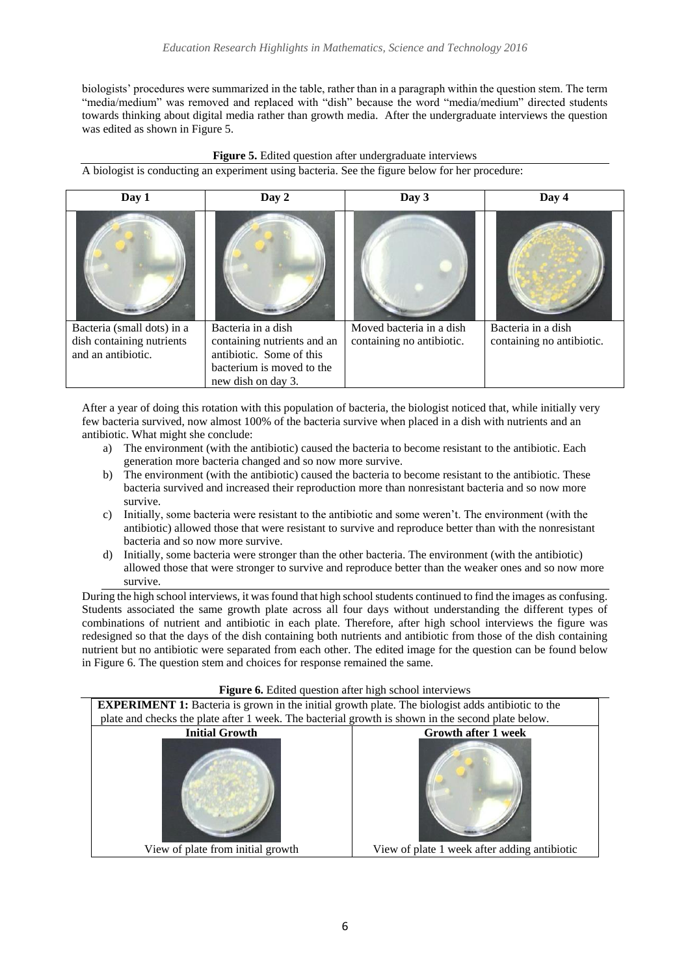biologists' procedures were summarized in the table, rather than in a paragraph within the question stem. The term "media/medium" was removed and replaced with "dish" because the word "media/medium" directed students towards thinking about digital media rather than growth media. After the undergraduate interviews the question was edited as shown in Figure 5.



A biologist is conducting an experiment using bacteria. See the figure below for her procedure:

| Day 1                                                                         | Day 2                                                                                                                            | Day 3                                                 | Day 4                                           |
|-------------------------------------------------------------------------------|----------------------------------------------------------------------------------------------------------------------------------|-------------------------------------------------------|-------------------------------------------------|
|                                                                               |                                                                                                                                  |                                                       |                                                 |
| Bacteria (small dots) in a<br>dish containing nutrients<br>and an antibiotic. | Bacteria in a dish<br>containing nutrients and an<br>antibiotic. Some of this<br>bacterium is moved to the<br>new dish on day 3. | Moved bacteria in a dish<br>containing no antibiotic. | Bacteria in a dish<br>containing no antibiotic. |

After a year of doing this rotation with this population of bacteria, the biologist noticed that, while initially very few bacteria survived, now almost 100% of the bacteria survive when placed in a dish with nutrients and an antibiotic. What might she conclude:

- a) The environment (with the antibiotic) caused the bacteria to become resistant to the antibiotic. Each generation more bacteria changed and so now more survive.
- b) The environment (with the antibiotic) caused the bacteria to become resistant to the antibiotic. These bacteria survived and increased their reproduction more than nonresistant bacteria and so now more survive.
- c) Initially, some bacteria were resistant to the antibiotic and some weren't. The environment (with the antibiotic) allowed those that were resistant to survive and reproduce better than with the nonresistant bacteria and so now more survive.
- d) Initially, some bacteria were stronger than the other bacteria. The environment (with the antibiotic) allowed those that were stronger to survive and reproduce better than the weaker ones and so now more survive.

During the high school interviews, it was found that high school students continued to find the images as confusing. Students associated the same growth plate across all four days without understanding the different types of combinations of nutrient and antibiotic in each plate. Therefore, after high school interviews the figure was redesigned so that the days of the dish containing both nutrients and antibiotic from those of the dish containing nutrient but no antibiotic were separated from each other. The edited image for the question can be found below in Figure 6. The question stem and choices for response remained the same.



# Figure 6. Edited question after high school interviews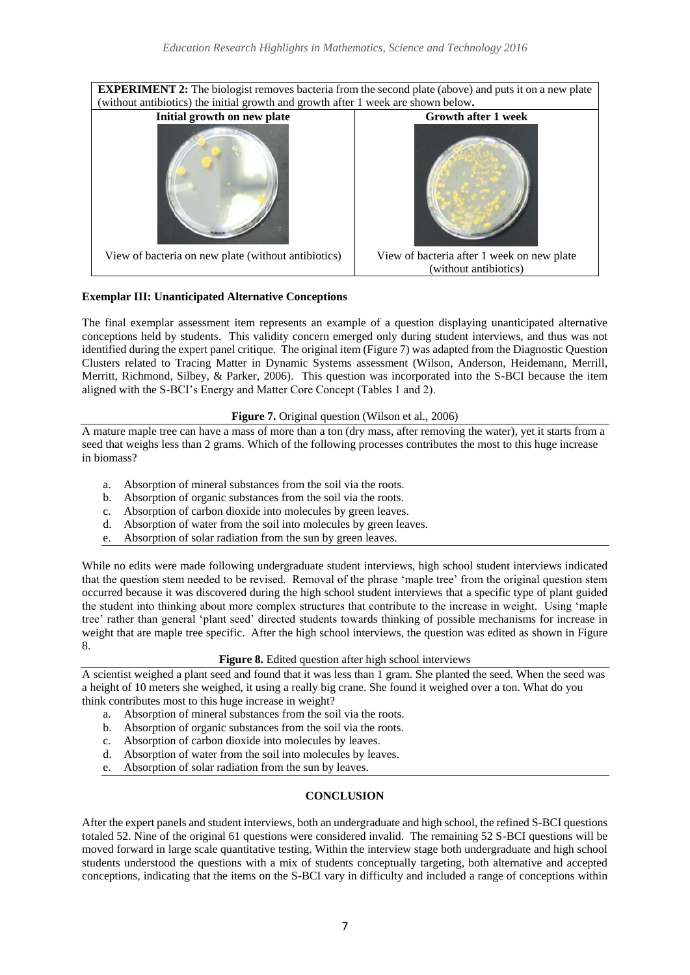

# **Exemplar III: Unanticipated Alternative Conceptions**

The final exemplar assessment item represents an example of a question displaying unanticipated alternative conceptions held by students. This validity concern emerged only during student interviews, and thus was not identified during the expert panel critique. The original item (Figure 7) was adapted from the Diagnostic Question Clusters related to Tracing Matter in Dynamic Systems assessment (Wilson, Anderson, Heidemann, Merrill, Merritt, Richmond, Silbey, & Parker, 2006). This question was incorporated into the S-BCI because the item aligned with the S-BCI's Energy and Matter Core Concept (Tables 1 and 2).

## **Figure 7.** Original question (Wilson et al., 2006)

A mature maple tree can have a mass of more than a ton (dry mass, after removing the water), yet it starts from a seed that weighs less than 2 grams. Which of the following processes contributes the most to this huge increase in biomass?

- a. Absorption of mineral substances from the soil via the roots.
- b. Absorption of organic substances from the soil via the roots.
- c. Absorption of carbon dioxide into molecules by green leaves.
- d. Absorption of water from the soil into molecules by green leaves.
- e. Absorption of solar radiation from the sun by green leaves.

While no edits were made following undergraduate student interviews, high school student interviews indicated that the question stem needed to be revised. Removal of the phrase 'maple tree' from the original question stem occurred because it was discovered during the high school student interviews that a specific type of plant guided the student into thinking about more complex structures that contribute to the increase in weight. Using 'maple tree' rather than general 'plant seed' directed students towards thinking of possible mechanisms for increase in weight that are maple tree specific. After the high school interviews, the question was edited as shown in Figure 8.

## **Figure 8.** Edited question after high school interviews

A scientist weighed a plant seed and found that it was less than 1 gram. She planted the seed. When the seed was a height of 10 meters she weighed, it using a really big crane. She found it weighed over a ton. What do you think contributes most to this huge increase in weight?

- a. Absorption of mineral substances from the soil via the roots.
- b. Absorption of organic substances from the soil via the roots.
- c. Absorption of carbon dioxide into molecules by leaves.
- d. Absorption of water from the soil into molecules by leaves.
- e. Absorption of solar radiation from the sun by leaves.

# **CONCLUSION**

After the expert panels and student interviews, both an undergraduate and high school, the refined S-BCI questions totaled 52. Nine of the original 61 questions were considered invalid. The remaining 52 S-BCI questions will be moved forward in large scale quantitative testing. Within the interview stage both undergraduate and high school students understood the questions with a mix of students conceptually targeting, both alternative and accepted conceptions, indicating that the items on the S-BCI vary in difficulty and included a range of conceptions within